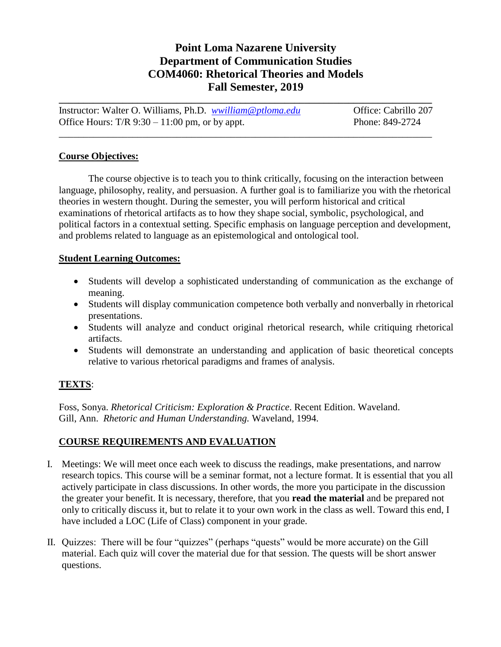# **Point Loma Nazarene University Department of Communication Studies COM4060: Rhetorical Theories and Models Fall Semester, 2019**

Instructor: Walter O. Williams, Ph.D. *[wwilliam@ptloma.edu](mailto:wwilliam@ptloma.edu)* Office: Cabrillo 207 Office Hours:  $T/R$  9:30 – 11:00 pm, or by appt. Phone: 849-2724

\_\_\_\_\_\_\_\_\_\_\_\_\_\_\_\_\_\_\_\_\_\_\_\_\_\_\_\_\_\_\_\_\_\_\_\_\_\_\_\_\_\_\_\_\_\_\_\_\_\_\_\_\_\_\_\_\_\_\_\_\_\_\_\_\_\_\_\_\_\_\_\_\_\_\_\_

**\_\_\_\_\_\_\_\_\_\_\_\_\_\_\_\_\_\_\_\_\_\_\_\_\_\_\_\_\_\_\_\_\_\_\_\_\_\_\_\_\_\_\_\_\_\_\_\_\_\_\_\_\_\_\_\_\_\_\_\_\_\_\_\_\_\_\_\_\_\_\_\_\_\_\_\_**

#### **Course Objectives:**

The course objective is to teach you to think critically, focusing on the interaction between language, philosophy, reality, and persuasion. A further goal is to familiarize you with the rhetorical theories in western thought. During the semester, you will perform historical and critical examinations of rhetorical artifacts as to how they shape social, symbolic, psychological, and political factors in a contextual setting. Specific emphasis on language perception and development, and problems related to language as an epistemological and ontological tool.

#### **Student Learning Outcomes:**

- Students will develop a sophisticated understanding of communication as the exchange of meaning.
- Students will display communication competence both verbally and nonverbally in rhetorical presentations.
- Students will analyze and conduct original rhetorical research, while critiquing rhetorical artifacts.
- Students will demonstrate an understanding and application of basic theoretical concepts relative to various rhetorical paradigms and frames of analysis.

## **TEXTS**:

Foss, Sonya. *Rhetorical Criticism: Exploration & Practice*. Recent Edition. Waveland. Gill, Ann. *Rhetoric and Human Understanding.* Waveland, 1994.

## **COURSE REQUIREMENTS AND EVALUATION**

- I. Meetings: We will meet once each week to discuss the readings, make presentations, and narrow research topics. This course will be a seminar format, not a lecture format. It is essential that you all actively participate in class discussions. In other words, the more you participate in the discussion the greater your benefit. It is necessary, therefore, that you **read the material** and be prepared not only to critically discuss it, but to relate it to your own work in the class as well. Toward this end, I have included a LOC (Life of Class) component in your grade.
- II. Quizzes: There will be four "quizzes" (perhaps "quests" would be more accurate) on the Gill material. Each quiz will cover the material due for that session. The quests will be short answer questions.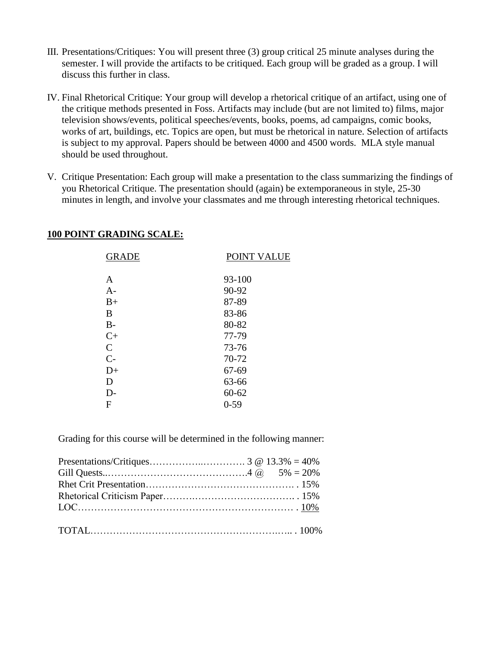- III. Presentations/Critiques: You will present three (3) group critical 25 minute analyses during the semester. I will provide the artifacts to be critiqued. Each group will be graded as a group. I will discuss this further in class.
- IV. Final Rhetorical Critique: Your group will develop a rhetorical critique of an artifact, using one of the critique methods presented in Foss. Artifacts may include (but are not limited to) films, major television shows/events, political speeches/events, books, poems, ad campaigns, comic books, works of art, buildings, etc. Topics are open, but must be rhetorical in nature. Selection of artifacts is subject to my approval. Papers should be between 4000 and 4500 words. MLA style manual should be used throughout.
- V. Critique Presentation: Each group will make a presentation to the class summarizing the findings of you Rhetorical Critique. The presentation should (again) be extemporaneous in style, 25-30 minutes in length, and involve your classmates and me through interesting rhetorical techniques.

| <b>100 POINT GRADING SCALE:</b> |  |  |
|---------------------------------|--|--|
|---------------------------------|--|--|

| <b>GRADE</b>  | POINT VALUE |
|---------------|-------------|
| A             | 93-100      |
| $A-$          | 90-92       |
| $B+$          | 87-89       |
| B             | 83-86       |
| $B-$          | 80-82       |
| $C+$          | 77-79       |
| $\mathcal{C}$ | 73-76       |
| $C-$          | 70-72       |
| $D+$          | 67-69       |
| D             | 63-66       |
| $D-$          | $60 - 62$   |
| F             | $0 - 59$    |

Grading for this course will be determined in the following manner: